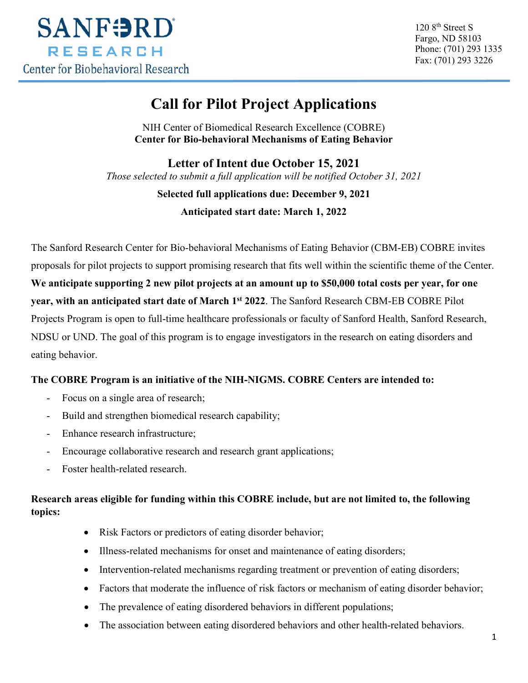

120 8<sup>th</sup> Street S Fargo, ND 58103 Phone: (701) 293 1335 Fax: (701) 293 3226

# **Call for Pilot Project Applications**

NIH Center of Biomedical Research Excellence (COBRE) **Center for Bio-behavioral Mechanisms of Eating Behavior**

**Letter of Intent due October 15, 2021** *Those selected to submit a full application will be notified October 31, 2021* 

#### **Selected full applications due: December 9, 2021**

**Anticipated start date: March 1, 2022**

The Sanford Research Center for Bio-behavioral Mechanisms of Eating Behavior (CBM-EB) COBRE invites proposals for pilot projects to support promising research that fits well within the scientific theme of the Center. **We anticipate supporting 2 new pilot projects at an amount up to \$50,000 total costs per year, for one year, with an anticipated start date of March 1st 2022**. The Sanford Research CBM-EB COBRE Pilot Projects Program is open to full-time healthcare professionals or faculty of Sanford Health, Sanford Research, NDSU or UND. The goal of this program is to engage investigators in the research on eating disorders and eating behavior.

### **The COBRE Program is an initiative of the NIH-NIGMS. COBRE Centers are intended to:**

- Focus on a single area of research;
- Build and strengthen biomedical research capability;
- Enhance research infrastructure;
- Encourage collaborative research and research grant applications;
- Foster health-related research.

### **Research areas eligible for funding within this COBRE include, but are not limited to, the following topics:**

- Risk Factors or predictors of eating disorder behavior;
- Illness-related mechanisms for onset and maintenance of eating disorders;
- Intervention-related mechanisms regarding treatment or prevention of eating disorders;
- Factors that moderate the influence of risk factors or mechanism of eating disorder behavior;
- The prevalence of eating disordered behaviors in different populations;
- The association between eating disordered behaviors and other health-related behaviors.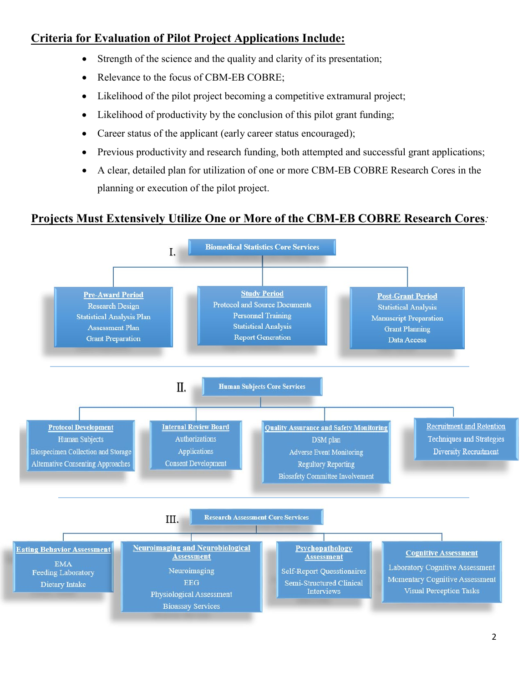## **Criteria for Evaluation of Pilot Project Applications Include:**

- Strength of the science and the quality and clarity of its presentation;
- Relevance to the focus of CBM-EB COBRE;
- Likelihood of the pilot project becoming a competitive extramural project;
- Likelihood of productivity by the conclusion of this pilot grant funding;
- Career status of the applicant (early career status encouraged);
- Previous productivity and research funding, both attempted and successful grant applications;
- A clear, detailed plan for utilization of one or more CBM-EB COBRE Research Cores in the planning or execution of the pilot project.

### **Projects Must Extensively Utilize One or More of the CBM-EB COBRE Research Cores***:*

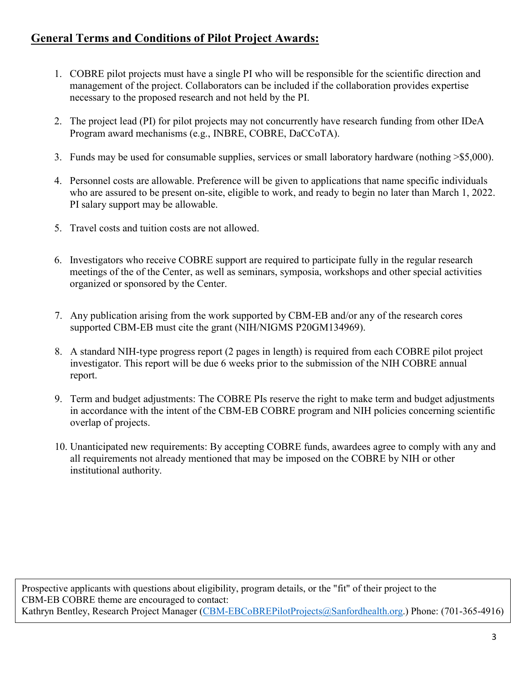## **General Terms and Conditions of Pilot Project Awards:**

- 1. COBRE pilot projects must have a single PI who will be responsible for the scientific direction and management of the project. Collaborators can be included if the collaboration provides expertise necessary to the proposed research and not held by the PI.
- 2. The project lead (PI) for pilot projects may not concurrently have research funding from other IDeA Program award mechanisms (e.g., INBRE, COBRE, DaCCoTA).
- 3. Funds may be used for consumable supplies, services or small laboratory hardware (nothing >\$5,000).
- 4. Personnel costs are allowable. Preference will be given to applications that name specific individuals who are assured to be present on-site, eligible to work, and ready to begin no later than March 1, 2022. PI salary support may be allowable.
- 5. Travel costs and tuition costs are not allowed.
- 6. Investigators who receive COBRE support are required to participate fully in the regular research meetings of the of the Center, as well as seminars, symposia, workshops and other special activities organized or sponsored by the Center.
- 7. Any publication arising from the work supported by CBM-EB and/or any of the research cores supported CBM-EB must cite the grant (NIH/NIGMS P20GM134969).
- 8. A standard NIH-type progress report (2 pages in length) is required from each COBRE pilot project investigator. This report will be due 6 weeks prior to the submission of the NIH COBRE annual report.
- 9. Term and budget adjustments: The COBRE PIs reserve the right to make term and budget adjustments in accordance with the intent of the CBM-EB COBRE program and NIH policies concerning scientific overlap of projects.
- 10. Unanticipated new requirements: By accepting COBRE funds, awardees agree to comply with any and all requirements not already mentioned that may be imposed on the COBRE by NIH or other institutional authority.

Prospective applicants with questions about eligibility, program details, or the "fit" of their project to the CBM-EB COBRE theme are encouraged to contact: Kathryn Bentley, Research Project Manager [\(CBM-EBCoBREPilotProjects@Sanfordhealth.org.](mailto:CBM-EBCoBREPilotProjects@Sanfordhealth.org)) Phone: (701-365-4916)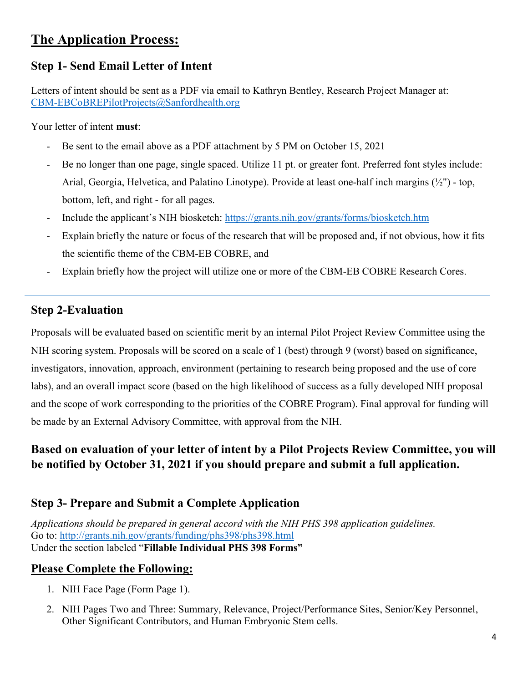# **The Application Process:**

## **Step 1- Send Email Letter of Intent**

Letters of intent should be sent as a PDF via email to Kathryn Bentley, Research Project Manager at: [CBM-EBCoBREPilotProjects@Sanfordhealth.org](mailto:CBM-EBCoBREPilotProjects@Sanfordhealth.org)

Your letter of intent **must**:

- Be sent to the email above as a PDF attachment by 5 PM on October 15, 2021
- Be no longer than one page, single spaced. Utilize 11 pt. or greater font. Preferred font styles include: Arial, Georgia, Helvetica, and Palatino Linotype). Provide at least one-half inch margins  $(\frac{1}{2})$  - top, bottom, left, and right - for all pages.
- Include the applicant's NIH biosketch:<https://grants.nih.gov/grants/forms/biosketch.htm>
- Explain briefly the nature or focus of the research that will be proposed and, if not obvious, how it fits the scientific theme of the CBM-EB COBRE, and
- Explain briefly how the project will utilize one or more of the CBM-EB COBRE Research Cores.

### **Step 2-Evaluation**

Proposals will be evaluated based on scientific merit by an internal Pilot Project Review Committee using the NIH scoring system. Proposals will be scored on a scale of 1 (best) through 9 (worst) based on significance, investigators, innovation, approach, environment (pertaining to research being proposed and the use of core labs), and an overall impact score (based on the high likelihood of success as a fully developed NIH proposal and the scope of work corresponding to the priorities of the COBRE Program). Final approval for funding will be made by an External Advisory Committee, with approval from the NIH.

## **Based on evaluation of your letter of intent by a Pilot Projects Review Committee, you will be notified by October 31, 2021 if you should prepare and submit a full application.**

## **Step 3- Prepare and Submit a Complete Application**

*Applications should be prepared in general accord with the NIH PHS 398 application guidelines.*  Go to: <http://grants.nih.gov/grants/funding/phs398/phs398.html> Under the section labeled "**Fillable Individual PHS 398 Forms"**

## **Please Complete the Following:**

- 1. NIH Face Page (Form Page 1).
- 2. NIH Pages Two and Three: Summary, Relevance, Project/Performance Sites, Senior/Key Personnel, Other Significant Contributors, and Human Embryonic Stem cells.